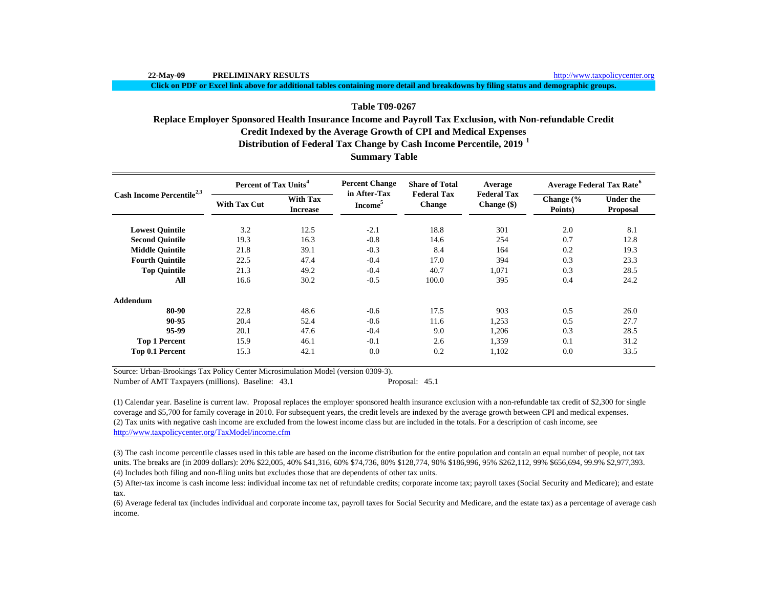**Click on PDF or Excel link above for additional tables containing more detail and breakdowns by filing status and demographic groups.**

# **Table T09-0267**

# **Summary Table Credit Indexed by the Average Growth of CPI and Medical Expenses Distribution of Federal Tax Change by Cash Income Percentile, 2019 <sup>1</sup> Replace Employer Sponsored Health Insurance Income and Payroll Tax Exclusion, with Non-refundable Credit**

| Cash Income Percentile <sup>2,3</sup> | Percent of Tax Units <sup>4</sup> |                                    | <b>Percent Change</b>               | <b>Share of Total</b>               | Average                             | <b>Average Federal Tax Rate<sup>6</sup></b> |                                     |  |
|---------------------------------------|-----------------------------------|------------------------------------|-------------------------------------|-------------------------------------|-------------------------------------|---------------------------------------------|-------------------------------------|--|
|                                       | <b>With Tax Cut</b>               | <b>With Tax</b><br><b>Increase</b> | in After-Tax<br>Income <sup>5</sup> | <b>Federal Tax</b><br><b>Change</b> | <b>Federal Tax</b><br>Change $(\$)$ | Change $\frac{6}{6}$<br>Points)             | <b>Under the</b><br><b>Proposal</b> |  |
| <b>Lowest Quintile</b>                | 3.2                               | 12.5                               | $-2.1$                              | 18.8                                | 301                                 | 2.0                                         | 8.1                                 |  |
| <b>Second Quintile</b>                | 19.3                              | 16.3                               | $-0.8$                              | 14.6                                | 254                                 | 0.7                                         | 12.8                                |  |
| <b>Middle Quintile</b>                | 21.8                              | 39.1                               | $-0.3$                              | 8.4                                 | 164                                 | 0.2                                         | 19.3                                |  |
| <b>Fourth Quintile</b>                | 22.5                              | 47.4                               | $-0.4$                              | 17.0                                | 394                                 | 0.3                                         | 23.3                                |  |
| <b>Top Quintile</b>                   | 21.3                              | 49.2                               | $-0.4$                              | 40.7                                | 1,071                               | 0.3                                         | 28.5                                |  |
| All                                   | 16.6                              | 30.2                               | $-0.5$                              | 100.0                               | 395                                 | 0.4                                         | 24.2                                |  |
| <b>Addendum</b>                       |                                   |                                    |                                     |                                     |                                     |                                             |                                     |  |
| 80-90                                 | 22.8                              | 48.6                               | $-0.6$                              | 17.5                                | 903                                 | 0.5                                         | 26.0                                |  |
| 90-95                                 | 20.4                              | 52.4                               | $-0.6$                              | 11.6                                | 1,253                               | 0.5                                         | 27.7                                |  |
| 95-99                                 | 20.1                              | 47.6                               | $-0.4$                              | 9.0                                 | 1,206                               | 0.3                                         | 28.5                                |  |
| <b>Top 1 Percent</b>                  | 15.9                              | 46.1                               | $-0.1$                              | 2.6                                 | 1,359                               | 0.1                                         | 31.2                                |  |
| Top 0.1 Percent                       | 15.3                              | 42.1                               | 0.0                                 | 0.2                                 | 1,102                               | 0.0                                         | 33.5                                |  |

Source: Urban-Brookings Tax Policy Center Microsimulation Model (version 0309-3).

Number of AMT Taxpayers (millions). Baseline: 43.1 Proposal: 45.1

(2) Tax units with negative cash income are excluded from the lowest income class but are included in the totals. For a description of cash income, see http://www.taxpolicycenter.org/TaxModel/income.cfm (1) Calendar year. Baseline is current law. Proposal replaces the employer sponsored health insurance exclusion with a non-refundable tax credit of \$2,300 for single coverage and \$5,700 for family coverage in 2010. For subsequent years, the credit levels are indexed by the average growth between CPI and medical expenses.

(4) Includes both filing and non-filing units but excludes those that are dependents of other tax units. (3) The cash income percentile classes used in this table are based on the income distribution for the entire population and contain an equal number of people, not tax units. The breaks are (in 2009 dollars): 20% \$22,005, 40% \$41,316, 60% \$74,736, 80% \$128,774, 90% \$186,996, 95% \$262,112, 99% \$656,694, 99.9% \$2,977,393.

(5) After-tax income is cash income less: individual income tax net of refundable credits; corporate income tax; payroll taxes (Social Security and Medicare); and estate tax.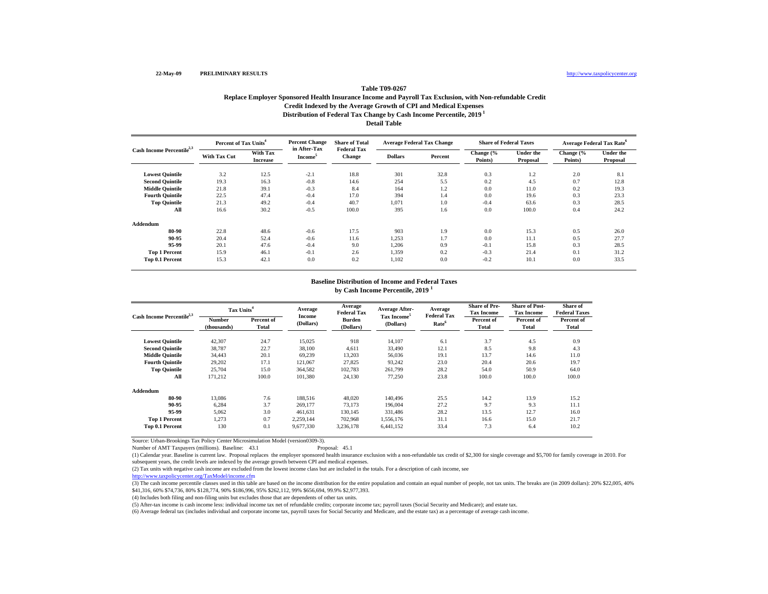# **Distribution of Federal Tax Change by Cash Income Percentile, 2019 1 Detail TableTable T09-0267Replace Employer Sponsored Health Insurance Income and Payroll Tax Exclusion, with Non-refundable Credit Credit Indexed by the Average Growth of CPI and Medical Expenses**

| Cash Income Percentile <sup>2,3</sup> | Percent of Tax Units <sup>4</sup> |                             | <b>Percent Change</b><br>in After-Tax | <b>Share of Total</b>               | <b>Average Federal Tax Change</b> |         | <b>Share of Federal Taxes</b> |                              | <b>Average Federal Tax Rate</b> <sup>6</sup> |                              |
|---------------------------------------|-----------------------------------|-----------------------------|---------------------------------------|-------------------------------------|-----------------------------------|---------|-------------------------------|------------------------------|----------------------------------------------|------------------------------|
|                                       | <b>With Tax Cut</b>               | With Tax<br><b>Increase</b> | Income <sup>3</sup>                   | <b>Federal Tax</b><br><b>Change</b> | <b>Dollars</b>                    | Percent | Change (%<br>Points)          | <b>Under the</b><br>Proposal | Change (%<br>Points)                         | <b>Under the</b><br>Proposal |
| <b>Lowest Quintile</b>                | 3.2                               | 12.5                        | $-2.1$                                | 18.8                                | 301                               | 32.8    | 0.3                           | 1.2                          | 2.0                                          | 8.1                          |
| <b>Second Quintile</b>                | 19.3                              | 16.3                        | $-0.8$                                | 14.6                                | 254                               | 5.5     | 0.2                           | 4.5                          | 0.7                                          | 12.8                         |
| <b>Middle Quintile</b>                | 21.8                              | 39.1                        | $-0.3$                                | 8.4                                 | 164                               | 1.2     | 0.0                           | 11.0                         | 0.2                                          | 19.3                         |
| <b>Fourth Quintile</b>                | 22.5                              | 47.4                        | $-0.4$                                | 17.0                                | 394                               | 1.4     | 0.0                           | 19.6                         | 0.3                                          | 23.3                         |
| <b>Top Quintile</b>                   | 21.3                              | 49.2                        | $-0.4$                                | 40.7                                | 1,071                             | 1.0     | $-0.4$                        | 63.6                         | 0.3                                          | 28.5                         |
| All                                   | 16.6                              | 30.2                        | $-0.5$                                | 100.0                               | 395                               | 1.6     | 0.0                           | 100.0                        | 0.4                                          | 24.2                         |
| Addendum                              |                                   |                             |                                       |                                     |                                   |         |                               |                              |                                              |                              |
| 80-90                                 | 22.8                              | 48.6                        | $-0.6$                                | 17.5                                | 903                               | 1.9     | 0.0                           | 15.3                         | 0.5                                          | 26.0                         |
| 90-95                                 | 20.4                              | 52.4                        | $-0.6$                                | 11.6                                | 1,253                             | 1.7     | 0.0                           | 11.1                         | 0.5                                          | 27.7                         |
| 95-99                                 | 20.1                              | 47.6                        | $-0.4$                                | 9.0                                 | 1,206                             | 0.9     | $-0.1$                        | 15.8                         | 0.3                                          | 28.5                         |
| <b>Top 1 Percent</b>                  | 15.9                              | 46.1                        | $-0.1$                                | 2.6                                 | 1,359                             | 0.2     | $-0.3$                        | 21.4                         | 0.1                                          | 31.2                         |
| Top 0.1 Percent                       | 15.3                              | 42.1                        | 0.0                                   | 0.2                                 | 1,102                             | 0.0     | $-0.2$                        | 10.1                         | 0.0                                          | 33.5                         |

#### **Baseline Distribution of Income and Federal Taxes**

**by Cash Income Percentile, 2019 <sup>1</sup>**

| Cash Income Percentile <sup>2,3</sup> | Tax Units <sup>4</sup> |                            | Average             | Average<br><b>Federal Tax</b> | <b>Average After-</b>                | Average<br><b>Federal Tax</b> | <b>Share of Pre-</b><br><b>Tax Income</b> | <b>Share of Post-</b><br><b>Tax Income</b> | Share of<br><b>Federal Taxes</b> |
|---------------------------------------|------------------------|----------------------------|---------------------|-------------------------------|--------------------------------------|-------------------------------|-------------------------------------------|--------------------------------------------|----------------------------------|
|                                       | Number<br>(thousands)  | Percent of<br><b>Total</b> | Income<br>(Dollars) | Burden<br>(Dollars)           | Tax Income <sup>5</sup><br>(Dollars) | Rate <sup>6</sup>             | Percent of<br>Total                       | Percent of<br><b>Total</b>                 | Percent of<br>Total              |
| <b>Lowest Quintile</b>                | 42,307                 | 24.7                       | 15,025              | 918                           | 14.107                               | 6.1                           | 3.7                                       | 4.5                                        | 0.9                              |
| <b>Second Quintile</b>                | 38,787                 | 22.7                       | 38,100              | 4,611                         | 33,490                               | 12.1                          | 8.5                                       | 9.8                                        | 4.3                              |
| <b>Middle Ouintile</b>                | 34,443                 | 20.1                       | 69,239              | 13,203                        | 56,036                               | 19.1                          | 13.7                                      | 14.6                                       | 11.0                             |
| <b>Fourth Ouintile</b>                | 29.202                 | 17.1                       | 121.067             | 27.825                        | 93.242                               | 23.0                          | 20.4                                      | 20.6                                       | 19.7                             |
| <b>Top Quintile</b>                   | 25,704                 | 15.0                       | 364,582             | 102,783                       | 261,799                              | 28.2                          | 54.0                                      | 50.9                                       | 64.0                             |
| All                                   | 171.212                | 100.0                      | 101,380             | 24,130                        | 77,250                               | 23.8                          | 100.0                                     | 100.0                                      | 100.0                            |
| Addendum                              |                        |                            |                     |                               |                                      |                               |                                           |                                            |                                  |
| 80-90                                 | 13.086                 | 7.6                        | 188,516             | 48.020                        | 140.496                              | 25.5                          | 14.2                                      | 13.9                                       | 15.2                             |
| 90-95                                 | 6,284                  | 3.7                        | 269,177             | 73.173                        | 196,004                              | 27.2                          | 9.7                                       | 9.3                                        | 11.1                             |
| 95-99                                 | 5.062                  | 3.0                        | 461,631             | 130.145                       | 331.486                              | 28.2                          | 13.5                                      | 12.7                                       | 16.0                             |
| <b>Top 1 Percent</b>                  | 1,273                  | 0.7                        | 2,259,144           | 702,968                       | 1.556.176                            | 31.1                          | 16.6                                      | 15.0                                       | 21.7                             |
| Top 0.1 Percent                       | 130                    | 0.1                        | 9,677,330           | 3,236,178                     | 6,441,152                            | 33.4                          | 7.3                                       | 6.4                                        | 10.2                             |

Source: Urban-Brookings Tax Policy Center Microsimulation Model (version0309-3). Number of AMT Taxpayers (millions). Baseline: 43.1

(1) Calendar year. Baseline is current law. Proposal replaces the employer sponsored health insurance exclusion with a non-refundable tax credit of \$2,300 for single coverage and \$5,700 for family coverage in 2010. For subsequent years, the credit levels are indexed by the average growth between CPI and medical expenses.

(2) Tax units with negative cash income are excluded from the lowest income class but are included in the totals. For a description of cash income, see

http://www.taxpolicycenter.org/TaxModel/income.cfm

(3) The cash income percentile classes used in this table are based on the income distribution for the entire population and contain an equal number of people, not tax units. The breaks are (in 2009 dollars): 20% \$22,005, \$41,316, 60% \$74,736, 80% \$128,774, 90% \$186,996, 95% \$262,112, 99% \$656,694, 99.9% \$2,977,393.

(4) Includes both filing and non-filing units but excludes those that are dependents of other tax units.

(5) After-tax income is cash income less: individual income tax net of refundable credits; corporate income tax; payroll taxes (Social Security and Medicare); and estate tax.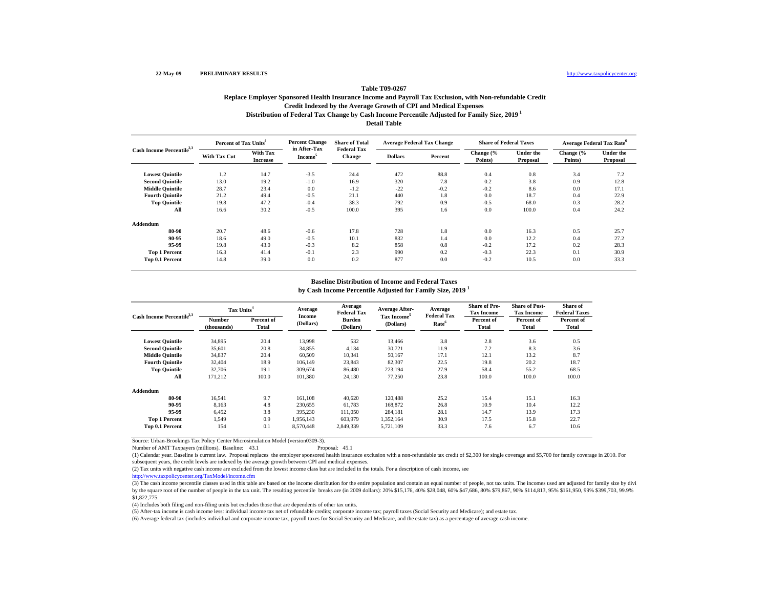# **Distribution of Federal Tax Change by Cash Income Percentile Adjusted for Family Size, 2019 1 Detail Table Table T09-0267Replace Employer Sponsored Health Insurance Income and Payroll Tax Exclusion, with Non-refundable Credit Credit Indexed by the Average Growth of CPI and Medical Expenses**

| Cash Income Percentile <sup>2,3</sup> | Percent of Tax Units <sup>4</sup> |                             | <b>Percent Change</b><br>in After-Tax | <b>Share of Total</b>               | <b>Average Federal Tax Change</b> |         | <b>Share of Federal Taxes</b> |                              | <b>Average Federal Tax Rate<sup>6</sup></b> |                              |
|---------------------------------------|-----------------------------------|-----------------------------|---------------------------------------|-------------------------------------|-----------------------------------|---------|-------------------------------|------------------------------|---------------------------------------------|------------------------------|
|                                       | <b>With Tax Cut</b>               | With Tax<br><b>Increase</b> | <b>Income</b> <sup>5</sup>            | <b>Federal Tax</b><br><b>Change</b> | <b>Dollars</b>                    | Percent | Change (%<br>Points)          | <b>Under the</b><br>Proposal | Change (%<br>Points)                        | <b>Under the</b><br>Proposal |
| <b>Lowest Quintile</b>                | 1.2                               | 14.7                        | $-3.5$                                | 24.4                                | 472                               | 88.8    | 0.4                           | 0.8                          | 3.4                                         | 7.2                          |
| <b>Second Quintile</b>                | 13.0                              | 19.2                        | $-1.0$                                | 16.9                                | 320                               | 7.8     | 0.2                           | 3.8                          | 0.9                                         | 12.8                         |
| <b>Middle Quintile</b>                | 28.7                              | 23.4                        | 0.0                                   | $-1.2$                              | $-22$                             | $-0.2$  | $-0.2$                        | 8.6                          | 0.0                                         | 17.1                         |
| <b>Fourth Quintile</b>                | 21.2                              | 49.4                        | $-0.5$                                | 21.1                                | 440                               | 1.8     | 0.0                           | 18.7                         | 0.4                                         | 22.9                         |
| <b>Top Quintile</b>                   | 19.8                              | 47.2                        | $-0.4$                                | 38.3                                | 792                               | 0.9     | $-0.5$                        | 68.0                         | 0.3                                         | 28.2                         |
| All                                   | 16.6                              | 30.2                        | $-0.5$                                | 100.0                               | 395                               | 1.6     | 0.0                           | 100.0                        | 0.4                                         | 24.2                         |
| Addendum                              |                                   |                             |                                       |                                     |                                   |         |                               |                              |                                             |                              |
| 80-90                                 | 20.7                              | 48.6                        | $-0.6$                                | 17.8                                | 728                               | 1.8     | 0.0                           | 16.3                         | 0.5                                         | 25.7                         |
| 90-95                                 | 18.6                              | 49.0                        | $-0.5$                                | 10.1                                | 832                               | 1.4     | 0.0                           | 12.2                         | 0.4                                         | 27.2                         |
| 95-99                                 | 19.8                              | 43.0                        | $-0.3$                                | 8.2                                 | 858                               | 0.8     | $-0.2$                        | 17.2                         | 0.2                                         | 28.3                         |
| <b>Top 1 Percent</b>                  | 16.3                              | 41.4                        | $-0.1$                                | 2.3                                 | 990                               | 0.2     | $-0.3$                        | 22.3                         | 0.1                                         | 30.9                         |
| Top 0.1 Percent                       | 14.8                              | 39.0                        | 0.0                                   | 0.2                                 | 877                               | 0.0     | $-0.2$                        | 10.5                         | 0.0                                         | 33.3                         |

#### **Baseline Distribution of Income and Federal Taxes**

**by Cash Income Percentile Adjusted for Family Size, 2019 <sup>1</sup>**

| Cash Income Percentile <sup>2,3</sup> | Tax Units <sup>4</sup> |                     | Average             | Average<br>Federal Tax | <b>Average After-</b>                | Average<br><b>Federal Tax</b> | <b>Share of Pre-</b><br><b>Tax Income</b> | <b>Share of Post-</b><br><b>Tax Income</b> | Share of<br><b>Federal Taxes</b> |
|---------------------------------------|------------------------|---------------------|---------------------|------------------------|--------------------------------------|-------------------------------|-------------------------------------------|--------------------------------------------|----------------------------------|
|                                       | Number<br>(thousands)  | Percent of<br>Total | Income<br>(Dollars) | Burden<br>(Dollars)    | Tax Income <sup>5</sup><br>(Dollars) | Rate <sup>6</sup>             | Percent of<br>Total                       | Percent of<br>Total                        | Percent of<br>Total              |
| <b>Lowest Quintile</b>                | 34,895                 | 20.4                | 13,998              | 532                    | 13,466                               | 3.8                           | 2.8                                       | 3.6                                        | 0.5                              |
| <b>Second Quintile</b>                | 35,601                 | 20.8                | 34,855              | 4,134                  | 30,721                               | 11.9                          | 7.2                                       | 8.3                                        | 3.6                              |
| <b>Middle Ouintile</b>                | 34,837                 | 20.4                | 60,509              | 10,341                 | 50.167                               | 17.1                          | 12.1                                      | 13.2                                       | 8.7                              |
| <b>Fourth Ouintile</b>                | 32,404                 | 18.9                | 106,149             | 23,843                 | 82,307                               | 22.5                          | 19.8                                      | 20.2                                       | 18.7                             |
| <b>Top Quintile</b>                   | 32,706                 | 19.1                | 309,674             | 86,480                 | 223,194                              | 27.9                          | 58.4                                      | 55.2                                       | 68.5                             |
| All                                   | 171,212                | 100.0               | 101,380             | 24,130                 | 77,250                               | 23.8                          | 100.0                                     | 100.0                                      | 100.0                            |
| Addendum                              |                        |                     |                     |                        |                                      |                               |                                           |                                            |                                  |
| 80-90                                 | 16,541                 | 9.7                 | 161,108             | 40,620                 | 120,488                              | 25.2                          | 15.4                                      | 15.1                                       | 16.3                             |
| 90-95                                 | 8.163                  | 4.8                 | 230,655             | 61,783                 | 168,872                              | 26.8                          | 10.9                                      | 10.4                                       | 12.2                             |
| 95-99                                 | 6.452                  | 3.8                 | 395,230             | 111.050                | 284.181                              | 28.1                          | 14.7                                      | 13.9                                       | 17.3                             |
| <b>Top 1 Percent</b>                  | 1,549                  | 0.9                 | 1,956,143           | 603,979                | 1,352,164                            | 30.9                          | 17.5                                      | 15.8                                       | 22.7                             |
| Top 0.1 Percent                       | 154                    | 0.1                 | 8,570,448           | 2,849,339              | 5,721,109                            | 33.3                          | 7.6                                       | 6.7                                        | 10.6                             |

Source: Urban-Brookings Tax Policy Center Microsimulation Model (version0309-3).

Number of AMT Taxpayers (millions). Baseline: 43.1

(1) Calendar year. Baseline is current law. Proposal replaces the employer sponsored health insurance exclusion with a non-refundable tax credit of \$2,300 for single coverage and \$5,700 for family coverage in 2010. For subsequent years, the credit levels are indexed by the average growth between CPI and medical expenses.

(2) Tax units with negative cash income are excluded from the lowest income class but are included in the totals. For a description of cash income, see

http://www.taxpolicycenter.org/TaxModel/income.cfm

(3) The cash income percentile classes used in this table are based on the income distribution for the entire population and contain an equal number of people, not tax units. The incomes used are adjusted for family size b by the square root of the number of people in the tax unit. The resulting percentile breaks are (in 2009 dollars): 20% \$15,176, 40% \$28,048, 60% \$47,686, 80% \$79,867, 90% \$114,813, 95% \$161,950, 99% \$399,703, 99.9% \$1,822,775.

(4) Includes both filing and non-filing units but excludes those that are dependents of other tax units.

(5) After-tax income is cash income less: individual income tax net of refundable credits; corporate income tax; payroll taxes (Social Security and Medicare); and estate tax.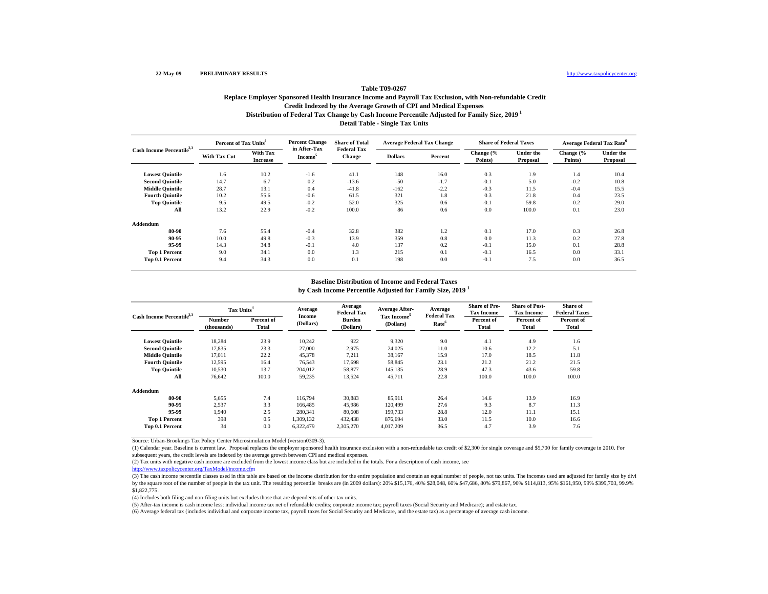# **Distribution of Federal Tax Change by Cash Income Percentile Adjusted for Family Size, 2019 1 Detail Table - Single Tax Units Table T09-0267Replace Employer Sponsored Health Insurance Income and Payroll Tax Exclusion, with Non-refundable Credit Credit Indexed by the Average Growth of CPI and Medical Expenses**

| Cash Income Percentile <sup>2,3</sup> | Percent of Tax Units <sup>4</sup> |                             | <b>Percent Change</b><br>in After-Tax | <b>Share of Total</b>               | <b>Average Federal Tax Change</b> |         | <b>Share of Federal Taxes</b> |                              | <b>Average Federal Tax Rate</b> <sup>6</sup> |                              |
|---------------------------------------|-----------------------------------|-----------------------------|---------------------------------------|-------------------------------------|-----------------------------------|---------|-------------------------------|------------------------------|----------------------------------------------|------------------------------|
|                                       | With Tax Cut                      | With Tax<br><b>Increase</b> | <b>Income</b> <sup>5</sup>            | <b>Federal Tax</b><br><b>Change</b> | <b>Dollars</b>                    | Percent | Change (%<br>Points)          | <b>Under the</b><br>Proposal | Change (%<br>Points)                         | <b>Under the</b><br>Proposal |
| <b>Lowest Quintile</b>                | 1.6                               | 10.2                        | $-1.6$                                | 41.1                                | 148                               | 16.0    | 0.3                           | 1.9                          | 1.4                                          | 10.4                         |
| <b>Second Quintile</b>                | 14.7                              | 6.7                         | 0.2                                   | $-13.6$                             | $-50$                             | $-1.7$  | $-0.1$                        | 5.0                          | $-0.2$                                       | 10.8                         |
| <b>Middle Quintile</b>                | 28.7                              | 13.1                        | 0.4                                   | $-41.8$                             | $-162$                            | $-2.2$  | $-0.3$                        | 11.5                         | $-0.4$                                       | 15.5                         |
| <b>Fourth Quintile</b>                | 10.2                              | 55.6                        | $-0.6$                                | 61.5                                | 321                               | 1.8     | 0.3                           | 21.8                         | 0.4                                          | 23.5                         |
| <b>Top Quintile</b>                   | 9.5                               | 49.5                        | $-0.2$                                | 52.0                                | 325                               | 0.6     | $-0.1$                        | 59.8                         | 0.2                                          | 29.0                         |
| All                                   | 13.2                              | 22.9                        | $-0.2$                                | 100.0                               | 86                                | 0.6     | 0.0                           | 100.0                        | 0.1                                          | 23.0                         |
| Addendum                              |                                   |                             |                                       |                                     |                                   |         |                               |                              |                                              |                              |
| 80-90                                 | 7.6                               | 55.4                        | $-0.4$                                | 32.8                                | 382                               | 1.2     | 0.1                           | 17.0                         | 0.3                                          | 26.8                         |
| 90-95                                 | 10.0                              | 49.8                        | $-0.3$                                | 13.9                                | 359                               | 0.8     | 0.0                           | 11.3                         | 0.2                                          | 27.8                         |
| 95-99                                 | 14.3                              | 34.8                        | $-0.1$                                | 4.0                                 | 137                               | 0.2     | $-0.1$                        | 15.0                         | 0.1                                          | 28.8                         |
| <b>Top 1 Percent</b>                  | 9.0                               | 34.1                        | 0.0                                   | 1.3                                 | 215                               | 0.1     | $-0.1$                        | 16.5                         | 0.0                                          | 33.1                         |
| Top 0.1 Percent                       | 9.4                               | 34.3                        | 0.0                                   | 0.1                                 | 198                               | 0.0     | $-0.1$                        | 7.5                          | 0.0                                          | 36.5                         |

### **Baseline Distribution of Income and Federal Taxes**

**by Cash Income Percentile Adjusted for Family Size, 2019 <sup>1</sup>**

| Cash Income Percentile <sup>2,3</sup> |                       | Tax Units <sup>4</sup> |                     | Average<br><b>Federal Tax</b> | <b>Average After-</b>                | Average                                 | <b>Share of Pre-</b><br><b>Tax Income</b> | <b>Share of Post-</b><br><b>Tax Income</b> | Share of<br><b>Federal Taxes</b> |
|---------------------------------------|-----------------------|------------------------|---------------------|-------------------------------|--------------------------------------|-----------------------------------------|-------------------------------------------|--------------------------------------------|----------------------------------|
|                                       | Number<br>(thousands) | Percent of<br>Total    | Income<br>(Dollars) | <b>Burden</b><br>(Dollars)    | Tax Income <sup>5</sup><br>(Dollars) | <b>Federal Tax</b><br>Rate <sup>6</sup> | Percent of<br>Total                       | Percent of<br>Total                        | Percent of<br>Total              |
| <b>Lowest Quintile</b>                | 18,284                | 23.9                   | 10,242              | 922                           | 9,320                                | 9.0                                     | 4.1                                       | 4.9                                        | 1.6                              |
| <b>Second Quintile</b>                | 17,835                | 23.3                   | 27,000              | 2,975                         | 24,025                               | 11.0                                    | 10.6                                      | 12.2                                       | 5.1                              |
| <b>Middle Quintile</b>                | 17.011                | 22.2                   | 45,378              | 7,211                         | 38,167                               | 15.9                                    | 17.0                                      | 18.5                                       | 11.8                             |
| <b>Fourth Ouintile</b>                | 12,595                | 16.4                   | 76,543              | 17.698                        | 58,845                               | 23.1                                    | 21.2                                      | 21.2                                       | 21.5                             |
| <b>Top Quintile</b>                   | 10,530                | 13.7                   | 204.012             | 58,877                        | 145,135                              | 28.9                                    | 47.3                                      | 43.6                                       | 59.8                             |
| All                                   | 76.642                | 100.0                  | 59,235              | 13,524                        | 45,711                               | 22.8                                    | 100.0                                     | 100.0                                      | 100.0                            |
| Addendum                              |                       |                        |                     |                               |                                      |                                         |                                           |                                            |                                  |
| 80-90                                 | 5,655                 | 7.4                    | 116,794             | 30.883                        | 85.911                               | 26.4                                    | 14.6                                      | 13.9                                       | 16.9                             |
| 90-95                                 | 2.537                 | 3.3                    | 166,485             | 45.986                        | 120.499                              | 27.6                                    | 9.3                                       | 8.7                                        | 11.3                             |
| 95-99                                 | 1.940                 | 2.5                    | 280,341             | 80,608                        | 199.733                              | 28.8                                    | 12.0                                      | 11.1                                       | 15.1                             |
| <b>Top 1 Percent</b>                  | 398                   | 0.5                    | 1,309,132           | 432,438                       | 876.694                              | 33.0                                    | 11.5                                      | 10.0                                       | 16.6                             |
| Top 0.1 Percent                       | 34                    | 0.0                    | 6.322.479           | 2,305,270                     | 4,017,209                            | 36.5                                    | 4.7                                       | 3.9                                        | 7.6                              |

Source: Urban-Brookings Tax Policy Center Microsimulation Model (version0309-3).

(1) Calendar year. Baseline is current law. Proposal replaces the employer sponsored health insurance exclusion with a non-refundable tax credit of \$2,300 for single coverage and \$5,700 for family coverage in 2010. For subsequent years, the credit levels are indexed by the average growth between CPI and medical expenses.

(2) Tax units with negative cash income are excluded from the lowest income class but are included in the totals. For a description of cash income, see

http://www.taxpolicycenter.org/TaxModel/income.cfm

(3) The cash income percentile classes used in this table are based on the income distribution for the entire population and contain an equal number of people, not tax units. The incomes used are adjusted for family size b by the square root of the number of people in the tax unit. The resulting percentile breaks are (in 2009 dollars): 20% \$15,176, 40% \$28,048, 60% \$47,686, 80% \$79,867, 90% \$114,813, 95% \$161,950, 99% \$399,703, 99.9% \$1,822,775.

(4) Includes both filing and non-filing units but excludes those that are dependents of other tax units.

(5) After-tax income is cash income less: individual income tax net of refundable credits; corporate income tax; payroll taxes (Social Security and Medicare); and estate tax.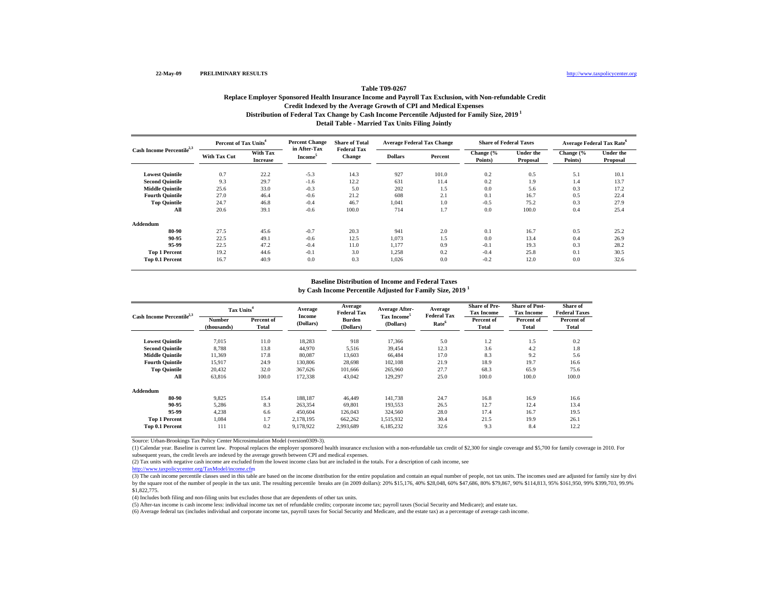# **Distribution of Federal Tax Change by Cash Income Percentile Adjusted for Family Size, 2019 1 Detail Table - Married Tax Units Filing Jointly Table T09-0267Replace Employer Sponsored Health Insurance Income and Payroll Tax Exclusion, with Non-refundable Credit Credit Indexed by the Average Growth of CPI and Medical Expenses**

| Cash Income Percentile <sup>2,3</sup> | Percent of Tax Units <sup>4</sup> |                             | <b>Percent Change</b><br>in After-Tax | <b>Share of Total</b>               | <b>Average Federal Tax Change</b> |         | <b>Share of Federal Taxes</b> |                              | <b>Average Federal Tax Rate</b> <sup>6</sup> |                              |
|---------------------------------------|-----------------------------------|-----------------------------|---------------------------------------|-------------------------------------|-----------------------------------|---------|-------------------------------|------------------------------|----------------------------------------------|------------------------------|
|                                       | <b>With Tax Cut</b>               | With Tax<br><b>Increase</b> | Income <sup>3</sup>                   | <b>Federal Tax</b><br><b>Change</b> | <b>Dollars</b>                    | Percent | Change (%<br>Points)          | <b>Under the</b><br>Proposal | Change (%<br>Points)                         | <b>Under the</b><br>Proposal |
| <b>Lowest Quintile</b>                | 0.7                               | 22.2                        | $-5.3$                                | 14.3                                | 927                               | 101.0   | 0.2                           | 0.5                          | 5.1                                          | 10.1                         |
| <b>Second Quintile</b>                | 9.3                               | 29.7                        | $-1.6$                                | 12.2                                | 631                               | 11.4    | 0.2                           | 1.9                          | 1.4                                          | 13.7                         |
| <b>Middle Quintile</b>                | 25.6                              | 33.0                        | $-0.3$                                | 5.0                                 | 202                               | 1.5     | 0.0                           | 5.6                          | 0.3                                          | 17.2                         |
| <b>Fourth Quintile</b>                | 27.0                              | 46.4                        | $-0.6$                                | 21.2                                | 608                               | 2.1     | 0.1                           | 16.7                         | 0.5                                          | 22.4                         |
| <b>Top Quintile</b>                   | 24.7                              | 46.8                        | $-0.4$                                | 46.7                                | 1,041                             | 1.0     | $-0.5$                        | 75.2                         | 0.3                                          | 27.9                         |
| All                                   | 20.6                              | 39.1                        | $-0.6$                                | 100.0                               | 714                               | 1.7     | 0.0                           | 100.0                        | 0.4                                          | 25.4                         |
| Addendum                              |                                   |                             |                                       |                                     |                                   |         |                               |                              |                                              |                              |
| 80-90                                 | 27.5                              | 45.6                        | $-0.7$                                | 20.3                                | 941                               | 2.0     | 0.1                           | 16.7                         | 0.5                                          | 25.2                         |
| 90-95                                 | 22.5                              | 49.1                        | $-0.6$                                | 12.5                                | 1,073                             | 1.5     | 0.0                           | 13.4                         | 0.4                                          | 26.9                         |
| 95-99                                 | 22.5                              | 47.2                        | $-0.4$                                | 11.0                                | 1,177                             | 0.9     | $-0.1$                        | 19.3                         | 0.3                                          | 28.2                         |
| <b>Top 1 Percent</b>                  | 19.2                              | 44.6                        | $-0.1$                                | 3.0                                 | 1,258                             | 0.2     | $-0.4$                        | 25.8                         | 0.1                                          | 30.5                         |
| Top 0.1 Percent                       | 16.7                              | 40.9                        | 0.0                                   | 0.3                                 | 1,026                             | 0.0     | $-0.2$                        | 12.0                         | 0.0                                          | 32.6                         |

### **Baseline Distribution of Income and Federal Taxes**

**by Cash Income Percentile Adjusted for Family Size, 2019 <sup>1</sup>**

| Cash Income Percentile <sup>2,3</sup> |                       | Tax Units <sup>4</sup> |                     | Average<br><b>Federal Tax</b> | <b>Average After-</b>                | Average<br><b>Federal Tax</b> | <b>Share of Pre-</b><br><b>Tax Income</b> | <b>Share of Post-</b><br><b>Tax Income</b> | Share of<br><b>Federal Taxes</b> |
|---------------------------------------|-----------------------|------------------------|---------------------|-------------------------------|--------------------------------------|-------------------------------|-------------------------------------------|--------------------------------------------|----------------------------------|
|                                       | Number<br>(thousands) | Percent of<br>Total    | Income<br>(Dollars) | Burden<br>(Dollars)           | Tax Income <sup>5</sup><br>(Dollars) | Rate <sup>6</sup>             | Percent of<br>Total                       | Percent of<br>Total                        | Percent of<br>Total              |
| <b>Lowest Quintile</b>                | 7,015                 | 11.0                   | 18,283              | 918                           | 17,366                               | 5.0                           | 1.2                                       | 1.5                                        | 0.2                              |
| <b>Second Quintile</b>                | 8,788                 | 13.8                   | 44,970              | 5,516                         | 39,454                               | 12.3                          | 3.6                                       | 4.2                                        | 1.8                              |
| <b>Middle Ouintile</b>                | 11,369                | 17.8                   | 80,087              | 13,603                        | 66.484                               | 17.0                          | 8.3                                       | 9.2                                        | 5.6                              |
| <b>Fourth Ouintile</b>                | 15,917                | 24.9                   | 130,806             | 28,698                        | 102,108                              | 21.9                          | 18.9                                      | 19.7                                       | 16.6                             |
| <b>Top Quintile</b>                   | 20,432                | 32.0                   | 367,626             | 101,666                       | 265,960                              | 27.7                          | 68.3                                      | 65.9                                       | 75.6                             |
| All                                   | 63,816                | 100.0                  | 172,338             | 43,042                        | 129,297                              | 25.0                          | 100.0                                     | 100.0                                      | 100.0                            |
| Addendum                              |                       |                        |                     |                               |                                      |                               |                                           |                                            |                                  |
| 80-90                                 | 9,825                 | 15.4                   | 188,187             | 46.449                        | 141,738                              | 24.7                          | 16.8                                      | 16.9                                       | 16.6                             |
| 90-95                                 | 5,286                 | 8.3                    | 263,354             | 69,801                        | 193,553                              | 26.5                          | 12.7                                      | 12.4                                       | 13.4                             |
| 95-99                                 | 4.238                 | 6.6                    | 450,604             | 126,043                       | 324.560                              | 28.0                          | 17.4                                      | 16.7                                       | 19.5                             |
| <b>Top 1 Percent</b>                  | 1,084                 | 1.7                    | 2,178,195           | 662,262                       | 1,515,932                            | 30.4                          | 21.5                                      | 19.9                                       | 26.1                             |
| Top 0.1 Percent                       | 111                   | 0.2                    | 9,178,922           | 2,993,689                     | 6,185,232                            | 32.6                          | 9.3                                       | 8.4                                        | 12.2                             |

Source: Urban-Brookings Tax Policy Center Microsimulation Model (version0309-3).

(1) Calendar year. Baseline is current law. Proposal replaces the employer sponsored health insurance exclusion with a non-refundable tax credit of \$2,300 for single coverage and \$5,700 for family coverage in 2010. For subsequent years, the credit levels are indexed by the average growth between CPI and medical expenses.

(2) Tax units with negative cash income are excluded from the lowest income class but are included in the totals. For a description of cash income, see

http://www.taxpolicycenter.org/TaxModel/income.cfm

(3) The cash income percentile classes used in this table are based on the income distribution for the entire population and contain an equal number of people, not tax units. The incomes used are adjusted for family size b by the square root of the number of people in the tax unit. The resulting percentile breaks are (in 2009 dollars): 20% \$15,176, 40% \$28,048, 60% \$47,686, 80% \$79,867, 90% \$114,813, 95% \$161,950, 99% \$399,703, 99.9% \$1,822,775.

(4) Includes both filing and non-filing units but excludes those that are dependents of other tax units.

(5) After-tax income is cash income less: individual income tax net of refundable credits; corporate income tax; payroll taxes (Social Security and Medicare); and estate tax.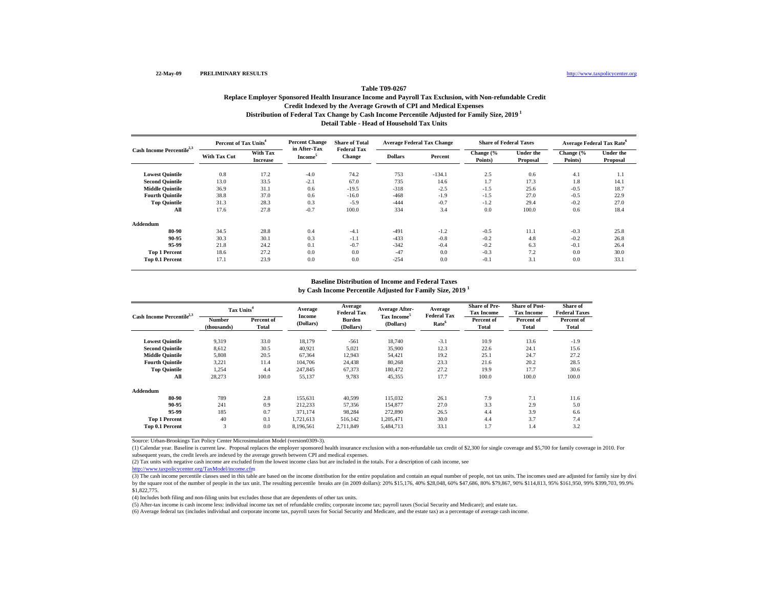# **Distribution of Federal Tax Change by Cash Income Percentile Adjusted for Family Size, 2019 1 Detail Table - Head of Household Tax Units Table T09-0267Replace Employer Sponsored Health Insurance Income and Payroll Tax Exclusion, with Non-refundable Credit Credit Indexed by the Average Growth of CPI and Medical Expenses**

| Cash Income Percentile <sup>2,3</sup> | Percent of Tax Units <sup>4</sup> |                             | <b>Percent Change</b>               | <b>Share of Total</b>               | <b>Average Federal Tax Change</b> |          | <b>Share of Federal Taxes</b> |                              | <b>Average Federal Tax Rate<sup>6</sup></b> |                              |
|---------------------------------------|-----------------------------------|-----------------------------|-------------------------------------|-------------------------------------|-----------------------------------|----------|-------------------------------|------------------------------|---------------------------------------------|------------------------------|
|                                       | <b>With Tax Cut</b>               | With Tax<br><b>Increase</b> | in After-Tax<br>Income <sup>3</sup> | <b>Federal Tax</b><br><b>Change</b> | <b>Dollars</b>                    | Percent  | Change (%<br>Points)          | <b>Under the</b><br>Proposal | Change (%<br>Points)                        | <b>Under the</b><br>Proposal |
| <b>Lowest Quintile</b>                | 0.8                               | 17.2                        | $-4.0$                              | 74.2                                | 753                               | $-134.1$ | 2.5                           | 0.6                          | 4.1                                         | 1.1                          |
| <b>Second Quintile</b>                | 13.0                              | 33.5                        | $-2.1$                              | 67.0                                | 735                               | 14.6     | 1.7                           | 17.3                         | 1.8                                         | 14.1                         |
| <b>Middle Quintile</b>                | 36.9                              | 31.1                        | 0.6                                 | $-19.5$                             | $-318$                            | $-2.5$   | $-1.5$                        | 25.6                         | $-0.5$                                      | 18.7                         |
| <b>Fourth Quintile</b>                | 38.8                              | 37.0                        | 0.6                                 | $-16.0$                             | $-468$                            | $-1.9$   | $-1.5$                        | 27.0                         | $-0.5$                                      | 22.9                         |
| <b>Top Quintile</b>                   | 31.3                              | 28.3                        | 0.3                                 | $-5.9$                              | $-444$                            | $-0.7$   | $-1.2$                        | 29.4                         | $-0.2$                                      | 27.0                         |
| All                                   | 17.6                              | 27.8                        | $-0.7$                              | 100.0                               | 334                               | 3.4      | 0.0                           | 100.0                        | 0.6                                         | 18.4                         |
| Addendum                              |                                   |                             |                                     |                                     |                                   |          |                               |                              |                                             |                              |
| 80-90                                 | 34.5                              | 28.8                        | 0.4                                 | $-4.1$                              | $-491$                            | $-1.2$   | $-0.5$                        | 11.1                         | $-0.3$                                      | 25.8                         |
| 90-95                                 | 30.3                              | 30.1                        | 0.3                                 | $-1.1$                              | $-433$                            | $-0.8$   | $-0.2$                        | 4.8                          | $-0.2$                                      | 26.8                         |
| 95-99                                 | 21.8                              | 24.2                        | 0.1                                 | $-0.7$                              | $-342$                            | $-0.4$   | $-0.2$                        | 6.3                          | $-0.1$                                      | 26.4                         |
| <b>Top 1 Percent</b>                  | 18.6                              | 27.2                        | 0.0                                 | 0.0                                 | $-47$                             | 0.0      | $-0.3$                        | 7.2                          | 0.0                                         | 30.0                         |
| Top 0.1 Percent                       | 17.1                              | 23.9                        | 0.0                                 | 0.0                                 | $-254$                            | 0.0      | $-0.1$                        | 3.1                          | 0.0                                         | 33.1                         |

### **Baseline Distribution of Income and Federal Taxes**

**by Cash Income Percentile Adjusted for Family Size, 2019 <sup>1</sup>**

| Cash Income Percentile <sup>2,3</sup> |                       | Tax Units <sup>4</sup> |                     | Average<br><b>Federal Tax</b> | <b>Average After-</b>                | Average                                 | <b>Share of Pre-</b><br><b>Tax Income</b> | <b>Share of Post-</b><br><b>Tax Income</b> | Share of<br><b>Federal Taxes</b> |
|---------------------------------------|-----------------------|------------------------|---------------------|-------------------------------|--------------------------------------|-----------------------------------------|-------------------------------------------|--------------------------------------------|----------------------------------|
|                                       | Number<br>(thousands) | Percent of<br>Total    | Income<br>(Dollars) | <b>Burden</b><br>(Dollars)    | Tax Income <sup>5</sup><br>(Dollars) | <b>Federal Tax</b><br>Rate <sup>6</sup> | Percent of<br>Total                       | Percent of<br>Total                        | Percent of<br>Total              |
| <b>Lowest Quintile</b>                | 9,319                 | 33.0                   | 18,179              | $-561$                        | 18,740                               | $-3.1$                                  | 10.9                                      | 13.6                                       | $-1.9$                           |
| <b>Second Quintile</b>                | 8,612                 | 30.5                   | 40,921              | 5,021                         | 35,900                               | 12.3                                    | 22.6                                      | 24.1                                       | 15.6                             |
| <b>Middle Quintile</b>                | 5,808                 | 20.5                   | 67,364              | 12,943                        | 54,421                               | 19.2                                    | 25.1                                      | 24.7                                       | 27.2                             |
| <b>Fourth Quintile</b>                | 3,221                 | 11.4                   | 104,706             | 24,438                        | 80,268                               | 23.3                                    | 21.6                                      | 20.2                                       | 28.5                             |
| <b>Top Quintile</b>                   | 1,254                 | 4.4                    | 247,845             | 67,373                        | 180.472                              | 27.2                                    | 19.9                                      | 17.7                                       | 30.6                             |
| All                                   | 28,273                | 100.0                  | 55,137              | 9,783                         | 45,355                               | 17.7                                    | 100.0                                     | 100.0                                      | 100.0                            |
| Addendum                              |                       |                        |                     |                               |                                      |                                         |                                           |                                            |                                  |
| 80-90                                 | 789                   | 2.8                    | 155,631             | 40.599                        | 115,032                              | 26.1                                    | 7.9                                       | 7.1                                        | 11.6                             |
| 90-95                                 | 241                   | 0.9                    | 212,233             | 57.356                        | 154,877                              | 27.0                                    | 3.3                                       | 2.9                                        | 5.0                              |
| 95-99                                 | 185                   | 0.7                    | 371.174             | 98.284                        | 272,890                              | 26.5                                    | 4.4                                       | 3.9                                        | 6.6                              |
| <b>Top 1 Percent</b>                  | 40                    | 0.1                    | 1,721,613           | 516,142                       | 1,205,471                            | 30.0                                    | 4.4                                       | 3.7                                        | 7.4                              |
| Top 0.1 Percent                       | 3                     | 0.0                    | 8,196,561           | 2,711,849                     | 5,484,713                            | 33.1                                    | 1.7                                       | 1.4                                        | 3.2                              |

Source: Urban-Brookings Tax Policy Center Microsimulation Model (version0309-3).

(1) Calendar year. Baseline is current law. Proposal replaces the employer sponsored health insurance exclusion with a non-refundable tax credit of \$2,300 for single coverage and \$5,700 for family coverage in 2010. For subsequent years, the credit levels are indexed by the average growth between CPI and medical expenses.

(2) Tax units with negative cash income are excluded from the lowest income class but are included in the totals. For a description of cash income, see

http://www.taxpolicycenter.org/TaxModel/income.cfm

(3) The cash income percentile classes used in this table are based on the income distribution for the entire population and contain an equal number of people, not tax units. The incomes used are adjusted for family size b by the square root of the number of people in the tax unit. The resulting percentile breaks are (in 2009 dollars): 20% \$15,176, 40% \$28,048, 60% \$47,686, 80% \$79,867, 90% \$114,813, 95% \$161,950, 99% \$399,703, 99.9% \$1,822,775.

(4) Includes both filing and non-filing units but excludes those that are dependents of other tax units.

(5) After-tax income is cash income less: individual income tax net of refundable credits; corporate income tax; payroll taxes (Social Security and Medicare); and estate tax.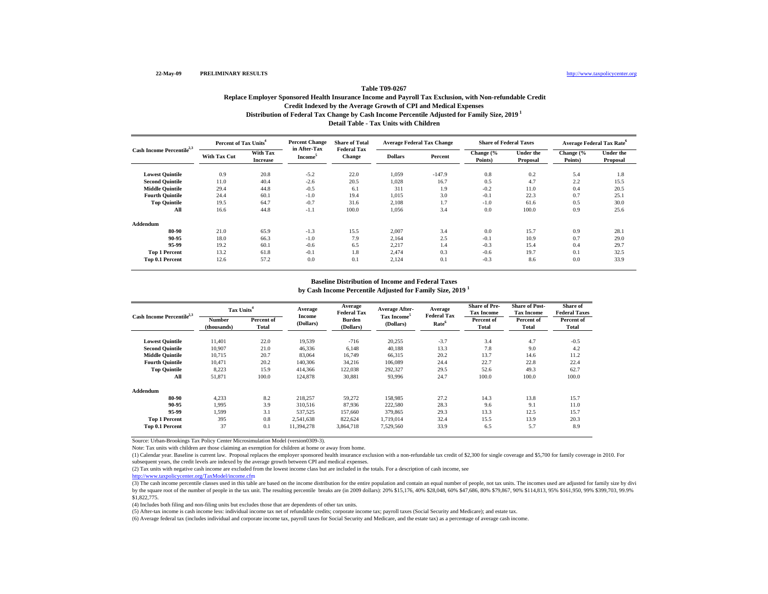# **Distribution of Federal Tax Change by Cash Income Percentile Adjusted for Family Size, 2019 1 Detail Table - Tax Units with Children Table T09-0267Replace Employer Sponsored Health Insurance Income and Payroll Tax Exclusion, with Non-refundable Credit Credit Indexed by the Average Growth of CPI and Medical Expenses**

| Cash Income Percentile <sup>2,3</sup> | Percent of Tax Units <sup>4</sup> |                             | <b>Percent Change</b>                      | <b>Share of Total</b>               | <b>Average Federal Tax Change</b> |          | <b>Share of Federal Taxes</b> |                              | <b>Average Federal Tax Rate<sup>6</sup></b> |                              |
|---------------------------------------|-----------------------------------|-----------------------------|--------------------------------------------|-------------------------------------|-----------------------------------|----------|-------------------------------|------------------------------|---------------------------------------------|------------------------------|
|                                       | <b>With Tax Cut</b>               | With Tax<br><b>Increase</b> | in After-Tax<br><b>Income</b> <sup>5</sup> | <b>Federal Tax</b><br><b>Change</b> | <b>Dollars</b>                    | Percent  | Change (%<br>Points)          | <b>Under the</b><br>Proposal | Change (%<br>Points)                        | <b>Under the</b><br>Proposal |
| <b>Lowest Quintile</b>                | 0.9                               | 20.8                        | $-5.2$                                     | 22.0                                | 1,059                             | $-147.9$ | 0.8                           | 0.2                          | 5.4                                         | 1.8                          |
| <b>Second Quintile</b>                | 11.0                              | 40.4                        | $-2.6$                                     | 20.5                                | 1,028                             | 16.7     | 0.5                           | 4.7                          | 2.2                                         | 15.5                         |
| <b>Middle Quintile</b>                | 29.4                              | 44.8                        | $-0.5$                                     | 6.1                                 | 311                               | 1.9      | $-0.2$                        | 11.0                         | 0.4                                         | 20.5                         |
| <b>Fourth Quintile</b>                | 24.4                              | 60.1                        | $-1.0$                                     | 19.4                                | 1,015                             | 3.0      | $-0.1$                        | 22.3                         | 0.7                                         | 25.1                         |
| <b>Top Quintile</b>                   | 19.5                              | 64.7                        | $-0.7$                                     | 31.6                                | 2,108                             | 1.7      | $-1.0$                        | 61.6                         | 0.5                                         | 30.0                         |
| All                                   | 16.6                              | 44.8                        | $-1.1$                                     | 100.0                               | 1,056                             | 3.4      | 0.0                           | 100.0                        | 0.9                                         | 25.6                         |
| Addendum                              |                                   |                             |                                            |                                     |                                   |          |                               |                              |                                             |                              |
| 80-90                                 | 21.0                              | 65.9                        | $-1.3$                                     | 15.5                                | 2,007                             | 3.4      | 0.0                           | 15.7                         | 0.9                                         | 28.1                         |
| 90-95                                 | 18.0                              | 66.3                        | $-1.0$                                     | 7.9                                 | 2,164                             | 2.5      | $-0.1$                        | 10.9                         | 0.7                                         | 29.0                         |
| 95-99                                 | 19.2                              | 60.1                        | $-0.6$                                     | 6.5                                 | 2,217                             | 1.4      | $-0.3$                        | 15.4                         | 0.4                                         | 29.7                         |
| <b>Top 1 Percent</b>                  | 13.2                              | 61.8                        | $-0.1$                                     | 1.8                                 | 2,474                             | 0.3      | $-0.6$                        | 19.7                         | 0.1                                         | 32.5                         |
| Top 0.1 Percent                       | 12.6                              | 57.2                        | 0.0                                        | 0.1                                 | 2,124                             | 0.1      | $-0.3$                        | 8.6                          | 0.0                                         | 33.9                         |

### **Baseline Distribution of Income and Federal Taxes**

**by Cash Income Percentile Adjusted for Family Size, 2019 <sup>1</sup>**

| Cash Income Percentile <sup>2,3</sup> | Tax Units <sup>4</sup> |                     | Average             | Average<br><b>Federal Tax</b> | <b>Average After-</b>                | Average<br><b>Federal Tax</b> | <b>Share of Pre-</b><br><b>Tax Income</b> | <b>Share of Post-</b><br><b>Tax Income</b> | Share of<br><b>Federal Taxes</b> |
|---------------------------------------|------------------------|---------------------|---------------------|-------------------------------|--------------------------------------|-------------------------------|-------------------------------------------|--------------------------------------------|----------------------------------|
|                                       | Number<br>(thousands)  | Percent of<br>Total | Income<br>(Dollars) | Burden<br>(Dollars)           | Tax Income <sup>5</sup><br>(Dollars) | Rate <sup>6</sup>             | Percent of<br>Total                       | Percent of<br>Total                        | Percent of<br><b>Total</b>       |
| <b>Lowest Quintile</b>                | 11.401                 | 22.0                | 19,539              | $-716$                        | 20,255                               | $-3.7$                        | 3.4                                       | 4.7                                        | $-0.5$                           |
| <b>Second Quintile</b>                | 10,907                 | 21.0                | 46,336              | 6,148                         | 40,188                               | 13.3                          | 7.8                                       | 9.0                                        | 4.2                              |
| <b>Middle Ouintile</b>                | 10.715                 | 20.7                | 83,064              | 16,749                        | 66,315                               | 20.2                          | 13.7                                      | 14.6                                       | 11.2                             |
| <b>Fourth Ouintile</b>                | 10.471                 | 20.2                | 140,306             | 34,216                        | 106,089                              | 24.4                          | 22.7                                      | 22.8                                       | 22.4                             |
| <b>Top Quintile</b>                   | 8,223                  | 15.9                | 414,366             | 122,038                       | 292,327                              | 29.5                          | 52.6                                      | 49.3                                       | 62.7                             |
| All                                   | 51,871                 | 100.0               | 124,878             | 30,881                        | 93,996                               | 24.7                          | 100.0                                     | 100.0                                      | 100.0                            |
| Addendum                              |                        |                     |                     |                               |                                      |                               |                                           |                                            |                                  |
| 80-90                                 | 4,233                  | 8.2                 | 218,257             | 59,272                        | 158,985                              | 27.2                          | 14.3                                      | 13.8                                       | 15.7                             |
| 90-95                                 | 1.995                  | 3.9                 | 310,516             | 87,936                        | 222,580                              | 28.3                          | 9.6                                       | 9.1                                        | 11.0                             |
| 95-99                                 | 1.599                  | 3.1                 | 537,525             | 157,660                       | 379,865                              | 29.3                          | 13.3                                      | 12.5                                       | 15.7                             |
| <b>Top 1 Percent</b>                  | 395                    | 0.8                 | 2,541,638           | 822,624                       | 1,719,014                            | 32.4                          | 15.5                                      | 13.9                                       | 20.3                             |
| Top 0.1 Percent                       | 37                     | 0.1                 | 11,394,278          | 3,864,718                     | 7,529,560                            | 33.9                          | 6.5                                       | 5.7                                        | 8.9                              |

Source: Urban-Brookings Tax Policy Center Microsimulation Model (version0309-3).

Note: Tax units with children are those claiming an exemption for children at home or away from home.

(1) Calendar year. Baseline is current law. Proposal replaces the employer sponsored health insurance exclusion with a non-refundable tax credit of \$2,300 for single coverage and \$5,700 for family coverage in 2010. For subsequent years, the credit levels are indexed by the average growth between CPI and medical expenses.

(2) Tax units with negative cash income are excluded from the lowest income class but are included in the totals. For a description of cash income, see

http://www.taxpolicycenter.org/TaxModel/income.cfm

(3) The cash income percentile classes used in this table are based on the income distribution for the entire population and contain an equal number of people, not tax units. The incomes used are adjusted for family size b by the square root of the number of people in the tax unit. The resulting percentile breaks are (in 2009 dollars): 20% \$15,176, 40% \$28,048, 60% \$47,686, 80% \$79,867, 90% \$114,813, 95% \$161,950, 99% \$399,703, 99.9% \$1,822,775.

(4) Includes both filing and non-filing units but excludes those that are dependents of other tax units.

(5) After-tax income is cash income less: individual income tax net of refundable credits; corporate income tax; payroll taxes (Social Security and Medicare); and estate tax.